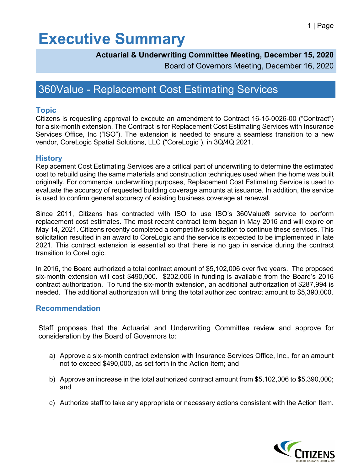# **Executive Summary**

### **Actuarial & Underwriting Committee Meeting, December 15, 2020**

Board of Governors Meeting, December 16, 2020

## 360Value - Replacement Cost Estimating Services

#### **Topic**

Citizens is requesting approval to execute an amendment to Contract 16-15-0026-00 ("Contract") for a six-month extension. The Contract is for Replacement Cost Estimating Services with Insurance Services Office, Inc ("ISO"). The extension is needed to ensure a seamless transition to a new vendor, CoreLogic Spatial Solutions, LLC ("CoreLogic"), in 3Q/4Q 2021.

#### **History**

Replacement Cost Estimating Services are a critical part of underwriting to determine the estimated cost to rebuild using the same materials and construction techniques used when the home was built originally. For commercial underwriting purposes, Replacement Cost Estimating Service is used to evaluate the accuracy of requested building coverage amounts at issuance. In addition, the service is used to confirm general accuracy of existing business coverage at renewal.

Since 2011, Citizens has contracted with ISO to use ISO's 360Value® service to perform replacement cost estimates. The most recent contract term began in May 2016 and will expire on May 14, 2021. Citizens recently completed a competitive solicitation to continue these services. This solicitation resulted in an award to CoreLogic and the service is expected to be implemented in late 2021. This contract extension is essential so that there is no gap in service during the contract transition to CoreLogic.

In 2016, the Board authorized a total contract amount of \$5,102,006 over five years. The proposed six-month extension will cost \$490,000. \$202,006 in funding is available from the Board's 2016 contract authorization. To fund the six-month extension, an additional authorization of \$287,994 is needed. The additional authorization will bring the total authorized contract amount to \$5,390,000.

### **Recommendation**

Staff proposes that the Actuarial and Underwriting Committee review and approve for consideration by the Board of Governors to:

- a) Approve a six-month contract extension with Insurance Services Office, Inc., for an amount not to exceed \$490,000, as set forth in the Action Item; and
- b) Approve an increase in the total authorized contract amount from \$5,102,006 to \$5,390,000; and
- c) Authorize staff to take any appropriate or necessary actions consistent with the Action Item.

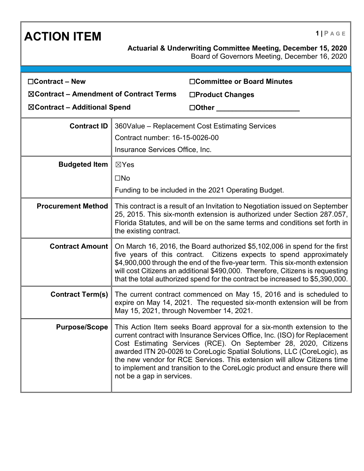**ACTION ITEM 1 PAGE** 

**Actuarial & Underwriting Committee Meeting, December 15, 2020** Board of Governors Meeting, December 16, 2020

| $\Box$ Contract – New<br>$\boxtimes$ Contract – Amendment of Contract Terms<br>$\boxtimes$ Contract – Additional Spend |                                                                                                                                                                                                                                                                                                                                                                                                     | □Committee or Board Minutes<br>□Product Changes<br>$\Box$ Other                                                                                                                                                                                                                                                                                                                                                                                               |
|------------------------------------------------------------------------------------------------------------------------|-----------------------------------------------------------------------------------------------------------------------------------------------------------------------------------------------------------------------------------------------------------------------------------------------------------------------------------------------------------------------------------------------------|---------------------------------------------------------------------------------------------------------------------------------------------------------------------------------------------------------------------------------------------------------------------------------------------------------------------------------------------------------------------------------------------------------------------------------------------------------------|
| <b>Contract ID</b>                                                                                                     | 360Value – Replacement Cost Estimating Services<br>Contract number: 16-15-0026-00<br>Insurance Services Office, Inc.                                                                                                                                                                                                                                                                                |                                                                                                                                                                                                                                                                                                                                                                                                                                                               |
| <b>Budgeted Item</b>                                                                                                   | $\boxtimes$ Yes<br>$\square$ No<br>Funding to be included in the 2021 Operating Budget.                                                                                                                                                                                                                                                                                                             |                                                                                                                                                                                                                                                                                                                                                                                                                                                               |
| <b>Procurement Method</b>                                                                                              | This contract is a result of an Invitation to Negotiation issued on September<br>25, 2015. This six-month extension is authorized under Section 287.057,<br>Florida Statutes, and will be on the same terms and conditions set forth in<br>the existing contract.                                                                                                                                   |                                                                                                                                                                                                                                                                                                                                                                                                                                                               |
| <b>Contract Amount</b>                                                                                                 | On March 16, 2016, the Board authorized \$5,102,006 in spend for the first<br>five years of this contract. Citizens expects to spend approximately<br>\$4,900,000 through the end of the five-year term. This six-month extension<br>will cost Citizens an additional \$490,000. Therefore, Citizens is requesting<br>that the total authorized spend for the contract be increased to \$5,390,000. |                                                                                                                                                                                                                                                                                                                                                                                                                                                               |
| <b>Contract Term(s)</b>                                                                                                |                                                                                                                                                                                                                                                                                                                                                                                                     | The current contract commenced on May 15, 2016 and is scheduled to<br>expire on May 14, 2021. The requested six-month extension will be from<br>May 15, 2021, through November 14, 2021.                                                                                                                                                                                                                                                                      |
| <b>Purpose/Scope</b>                                                                                                   | not be a gap in services.                                                                                                                                                                                                                                                                                                                                                                           | This Action Item seeks Board approval for a six-month extension to the<br>current contract with Insurance Services Office, Inc. (ISO) for Replacement<br>Cost Estimating Services (RCE). On September 28, 2020, Citizens<br>awarded ITN 20-0026 to CoreLogic Spatial Solutions, LLC (CoreLogic), as<br>the new vendor for RCE Services. This extension will allow Citizens time<br>to implement and transition to the CoreLogic product and ensure there will |